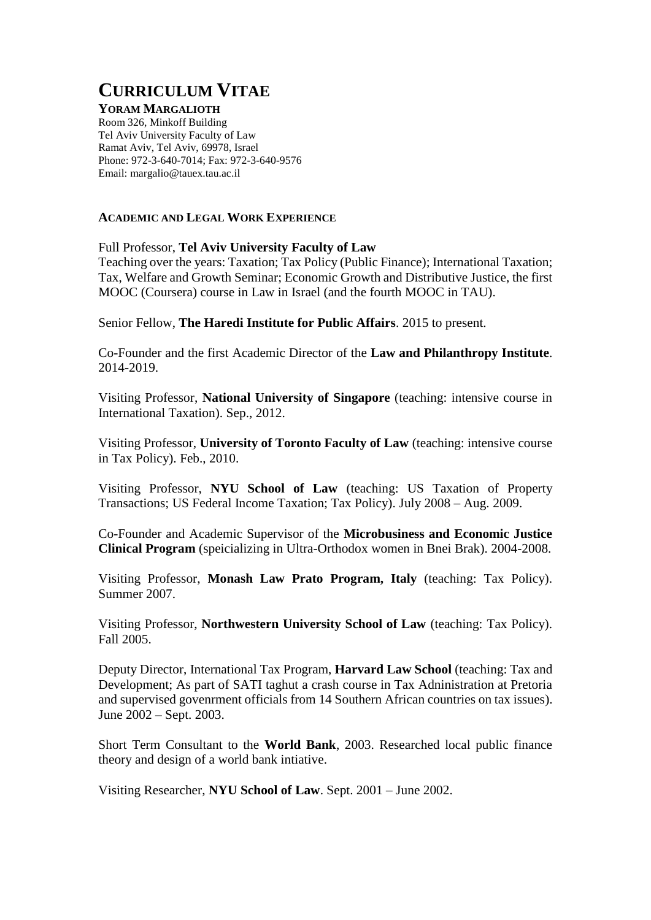# **CURRICULUM VITAE**

# **YORAM MARGALIOTH**

Room 326, Minkoff Building Tel Aviv University Faculty of Law Ramat Aviv, Tel Aviv, 69978, Israel Phone: 972-3-640-7014; Fax: 972-3-640-9576 Email: margalio@tauex.tau.ac.il

## **ACADEMIC AND LEGAL WORK EXPERIENCE**

## Full Professor, **Tel Aviv University Faculty of Law**

Teaching over the years: Taxation; Tax Policy (Public Finance); International Taxation; Tax, Welfare and Growth Seminar; Economic Growth and Distributive Justice, the first MOOC (Coursera) course in Law in Israel (and the fourth MOOC in TAU).

Senior Fellow, **The Haredi Institute for Public Affairs**. 2015 to present.

Co-Founder and the first Academic Director of the **Law and Philanthropy Institute**. 2014-2019.

Visiting Professor, **National University of Singapore** (teaching: intensive course in International Taxation). Sep., 2012.

Visiting Professor, **University of Toronto Faculty of Law** (teaching: intensive course in Tax Policy). Feb., 2010.

Visiting Professor, **NYU School of Law** (teaching: US Taxation of Property Transactions; US Federal Income Taxation; Tax Policy). July 2008 – Aug. 2009.

Co-Founder and Academic Supervisor of the **Microbusiness and Economic Justice Clinical Program** (speicializing in Ultra-Orthodox women in Bnei Brak). 2004-2008.

Visiting Professor, **Monash Law Prato Program, Italy** (teaching: Tax Policy). Summer 2007.

Visiting Professor, **Northwestern University School of Law** (teaching: Tax Policy). Fall 2005.

Deputy Director, International Tax Program, **Harvard Law School** (teaching: Tax and Development; As part of SATI taghut a crash course in Tax Adninistration at Pretoria and supervised govenrment officials from 14 Southern African countries on tax issues). June 2002 – Sept. 2003.

Short Term Consultant to the **World Bank**, 2003. Researched local public finance theory and design of a world bank intiative.

Visiting Researcher, **NYU School of Law**. Sept. 2001 – June 2002.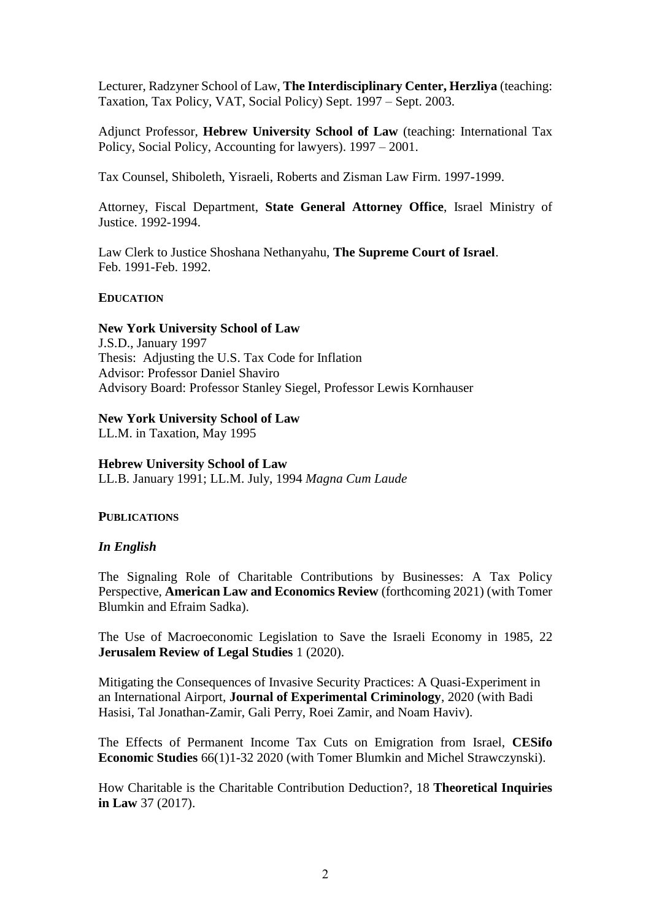Lecturer, Radzyner School of Law, **The Interdisciplinary Center, Herzliya** (teaching: Taxation, Tax Policy, VAT, Social Policy) Sept. 1997 – Sept. 2003.

Adjunct Professor, **Hebrew University School of Law** (teaching: International Tax Policy, Social Policy, Accounting for lawyers). 1997 – 2001.

Tax Counsel, Shiboleth, Yisraeli, Roberts and Zisman Law Firm. 1997-1999.

Attorney, Fiscal Department, **State General Attorney Office**, Israel Ministry of Justice. 1992-1994.

Law Clerk to Justice Shoshana Nethanyahu, **The Supreme Court of Israel**. Feb. 1991-Feb. 1992.

#### **EDUCATION**

**New York University School of Law** J.S.D., January 1997 Thesis: Adjusting the U.S. Tax Code for Inflation Advisor: Professor Daniel Shaviro Advisory Board: Professor Stanley Siegel, Professor Lewis Kornhauser

#### **New York University School of Law**

LL.M. in Taxation, May 1995

#### **Hebrew University School of Law**

LL.B. January 1991; LL.M. July, 1994 *Magna Cum Laude*

#### **PUBLICATIONS**

#### *In English*

The Signaling Role of Charitable Contributions by Businesses: A Tax Policy Perspective, **American Law and Economics Review** (forthcoming 2021) (with Tomer Blumkin and Efraim Sadka).

The Use of Macroeconomic Legislation to Save the Israeli Economy in 1985, 22 **Jerusalem Review of Legal Studies** 1 (2020).

Mitigating the Consequences of Invasive Security Practices: A Quasi-Experiment in an International Airport, **Journal of Experimental Criminology**, 2020 (with Badi Hasisi, Tal Jonathan-Zamir, Gali Perry, Roei Zamir, and Noam Haviv).

The Effects of Permanent Income Tax Cuts on Emigration from Israel, **CESifo Economic Studies** 66(1)1-32 2020 (with Tomer Blumkin and Michel Strawczynski).

How Charitable is the Charitable Contribution Deduction?, 18 **Theoretical Inquiries in Law** 37 (2017).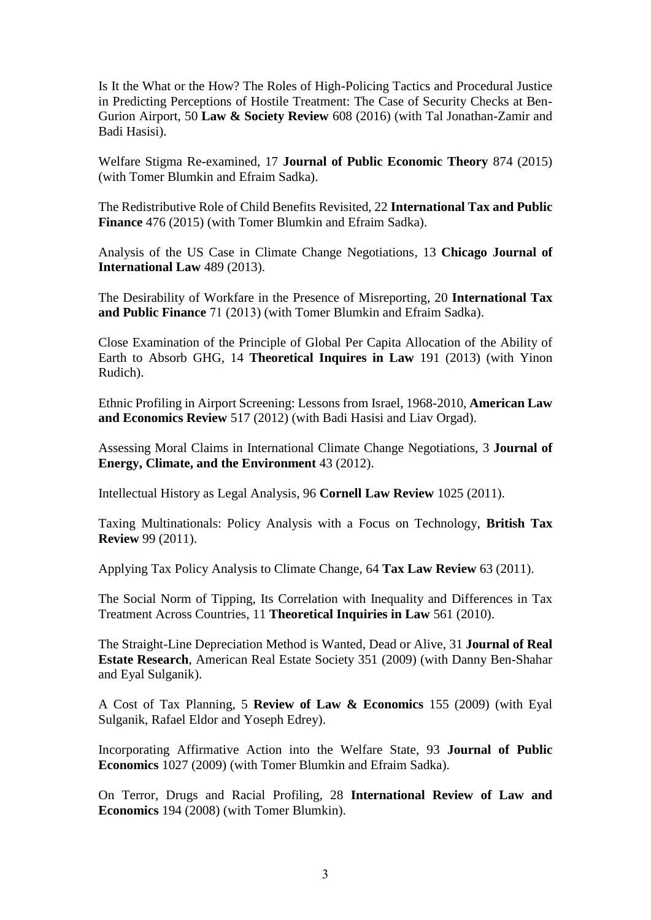Is It the What or the How? The Roles of High-Policing Tactics and Procedural Justice in Predicting Perceptions of Hostile Treatment: The Case of Security Checks at Ben-Gurion Airport, 50 **Law & Society Review** 608 (2016) (with Tal Jonathan-Zamir and Badi Hasisi).

Welfare Stigma Re-examined, 17 **Journal of Public Economic Theory** 874 (2015) (with Tomer Blumkin and Efraim Sadka).

The Redistributive Role of Child Benefits Revisited, 22 **International Tax and Public Finance** 476 (2015) (with Tomer Blumkin and Efraim Sadka).

Analysis of the US Case in Climate Change Negotiations, 13 **Chicago Journal of International Law** 489 (2013).

The Desirability of Workfare in the Presence of Misreporting, 20 **International Tax and Public Finance** 71 (2013) (with Tomer Blumkin and Efraim Sadka).

Close Examination of the Principle of Global Per Capita Allocation of the Ability of Earth to Absorb GHG, 14 **Theoretical Inquires in Law** 191 (2013) (with Yinon Rudich).

Ethnic Profiling in Airport Screening: Lessons from Israel, 1968-2010, **American Law and Economics Review** 517 (2012) (with Badi Hasisi and Liav Orgad).

Assessing Moral Claims in International Climate Change Negotiations, 3 **Journal of Energy, Climate, and the Environment** 43 (2012).

Intellectual History as Legal Analysis, 96 **Cornell Law Review** 1025 (2011).

Taxing Multinationals: Policy Analysis with a Focus on Technology, **British Tax Review** 99 (2011).

Applying Tax Policy Analysis to Climate Change, 64 **Tax Law Review** 63 (2011).

The Social Norm of Tipping, Its Correlation with Inequality and Differences in Tax Treatment Across Countries, 11 **Theoretical Inquiries in Law** 561 (2010).

The Straight-Line Depreciation Method is Wanted, Dead or Alive, 31 **Journal of Real Estate Research**, American Real Estate Society 351 (2009) (with Danny Ben-Shahar and Eyal Sulganik).

A Cost of Tax Planning, 5 **Review of Law & Economics** 155 (2009) (with Eyal Sulganik, Rafael Eldor and Yoseph Edrey).

Incorporating Affirmative Action into the Welfare State, 93 **Journal of Public Economics** 1027 (2009) (with Tomer Blumkin and Efraim Sadka).

On Terror, Drugs and Racial Profiling, 28 **International Review of Law and Economics** 194 (2008) (with Tomer Blumkin).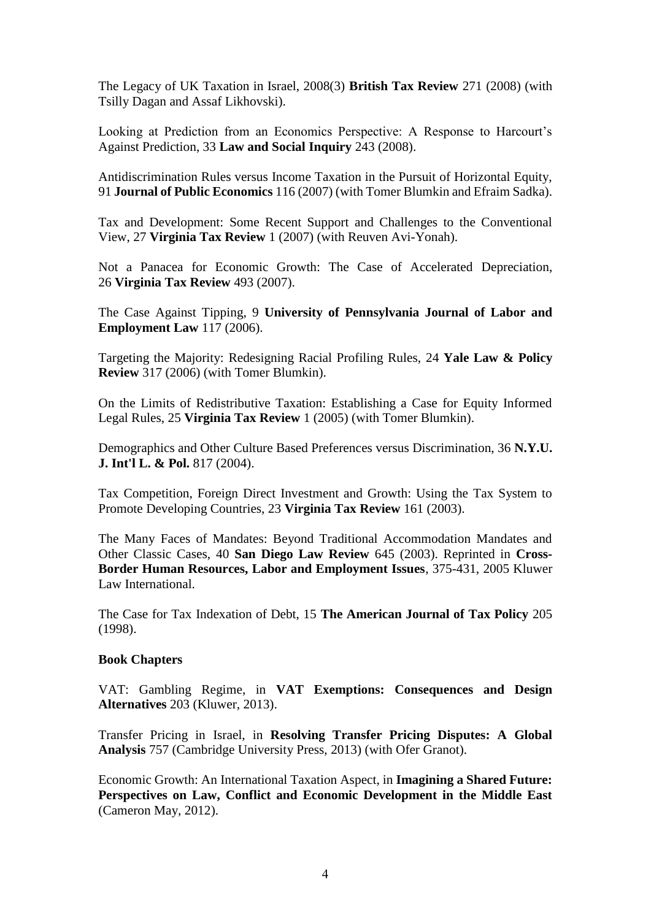The Legacy of UK Taxation in Israel, 2008(3) **British Tax Review** 271 (2008) (with Tsilly Dagan and Assaf Likhovski).

Looking at Prediction from an Economics Perspective: A Response to Harcourt's Against Prediction, 33 **Law and Social Inquiry** 243 (2008).

Antidiscrimination Rules versus Income Taxation in the Pursuit of Horizontal Equity, 91 **Journal of Public Economics** 116 (2007) (with Tomer Blumkin and Efraim Sadka).

Tax and Development: Some Recent Support and Challenges to the Conventional View, 27 **Virginia Tax Review** 1 (2007) (with Reuven Avi-Yonah).

Not a Panacea for Economic Growth: The Case of Accelerated Depreciation, 26 **Virginia Tax Review** 493 (2007).

The Case Against Tipping, 9 **University of Pennsylvania Journal of Labor and Employment Law** 117 (2006).

Targeting the Majority: Redesigning Racial Profiling Rules, 24 **Yale Law & Policy Review** 317 (2006) (with Tomer Blumkin).

On the Limits of Redistributive Taxation: Establishing a Case for Equity Informed Legal Rules, 25 **Virginia Tax Review** 1 (2005) (with Tomer Blumkin).

Demographics and Other Culture Based Preferences versus Discrimination, 36 **N.Y.U. J. Int'l L. & Pol.** 817 (2004).

Tax Competition, Foreign Direct Investment and Growth: Using the Tax System to Promote Developing Countries, 23 **Virginia Tax Review** 161 (2003).

The Many Faces of Mandates: Beyond Traditional Accommodation Mandates and Other Classic Cases, 40 **San Diego Law Review** 645 (2003). Reprinted in **Cross-Border Human Resources, Labor and Employment Issues**, 375-431, 2005 Kluwer Law International.

The Case for Tax Indexation of Debt, 15 **The American Journal of Tax Policy** 205 (1998).

#### **Book Chapters**

VAT: Gambling Regime, in **VAT Exemptions: Consequences and Design Alternatives** 203 (Kluwer, 2013).

Transfer Pricing in Israel, in **Resolving Transfer Pricing Disputes: A Global Analysis** 757 (Cambridge University Press, 2013) (with Ofer Granot).

Economic Growth: An International Taxation Aspect, in **Imagining a Shared Future: Perspectives on Law, Conflict and Economic Development in the Middle East** (Cameron May, 2012).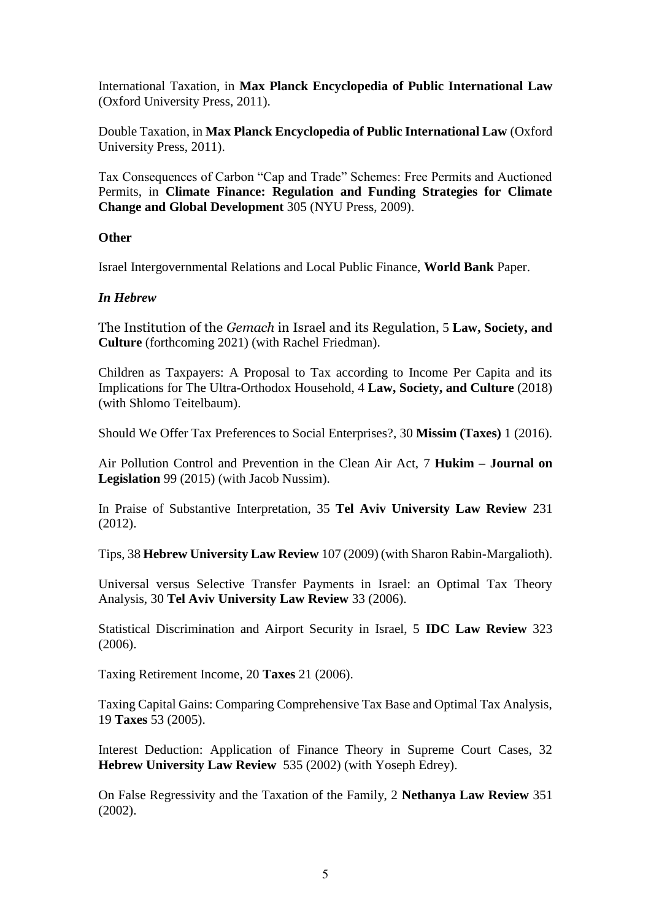International Taxation, in **Max Planck Encyclopedia of Public International Law**  (Oxford University Press, 2011).

Double Taxation, in **Max Planck Encyclopedia of Public International Law** (Oxford University Press, 2011).

Tax Consequences of Carbon "Cap and Trade" Schemes: Free Permits and Auctioned Permits, in **Climate Finance: Regulation and Funding Strategies for Climate Change and Global Development** 305 (NYU Press, 2009).

## **Other**

Israel Intergovernmental Relations and Local Public Finance, **World Bank** Paper.

### *In Hebrew*

The Institution of the *Gemach* in Israel and its Regulation, 5 **Law, Society, and Culture** (forthcoming 2021) (with Rachel Friedman).

Children as Taxpayers: A Proposal to Tax according to Income Per Capita and its Implications for The Ultra-Orthodox Household, 4 **Law, Society, and Culture** (2018) (with Shlomo Teitelbaum).

Should We Offer Tax Preferences to Social Enterprises?, 30 **Missim (Taxes)** 1 (2016).

Air Pollution Control and Prevention in the Clean Air Act, 7 **Hukim – Journal on Legislation** 99 (2015) (with Jacob Nussim).

In Praise of Substantive Interpretation, 35 **Tel Aviv University Law Review** 231 (2012).

Tips, 38 **Hebrew University Law Review** 107 (2009) (with Sharon Rabin-Margalioth).

Universal versus Selective Transfer Payments in Israel: an Optimal Tax Theory Analysis, 30 **Tel Aviv University Law Review** 33 (2006).

Statistical Discrimination and Airport Security in Israel, 5 **IDC Law Review** 323 (2006).

Taxing Retirement Income, 20 **Taxes** 21 (2006).

Taxing Capital Gains: Comparing Comprehensive Tax Base and Optimal Tax Analysis, 19 **Taxes** 53 (2005).

Interest Deduction: Application of Finance Theory in Supreme Court Cases, 32 **Hebrew University Law Review** 535 (2002) (with Yoseph Edrey).

On False Regressivity and the Taxation of the Family, 2 **Nethanya Law Review** 351  $(2002)$ .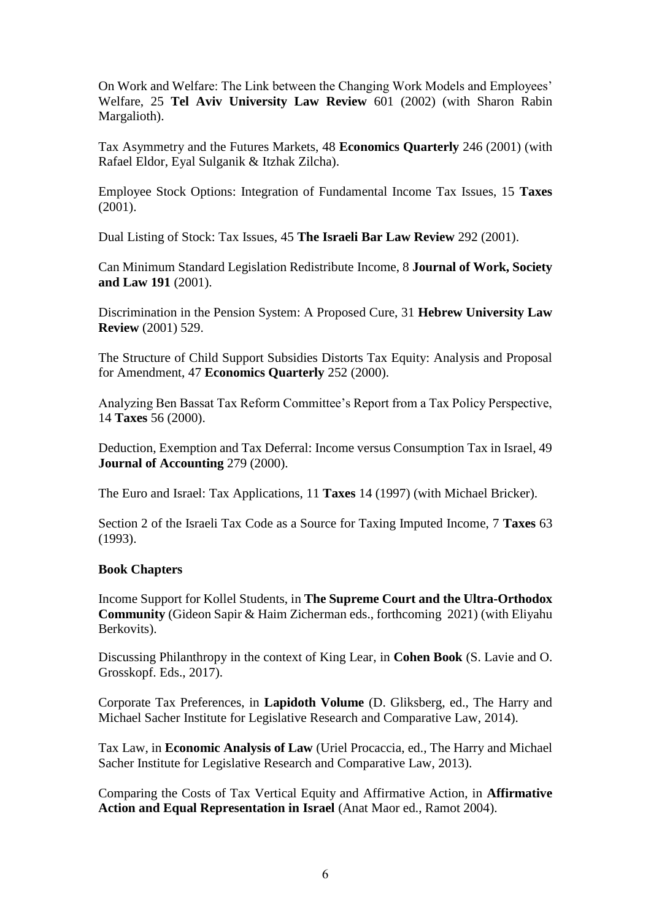On Work and Welfare: The Link between the Changing Work Models and Employees' Welfare, 25 **Tel Aviv University Law Review** 601 (2002) (with Sharon Rabin Margalioth).

Tax Asymmetry and the Futures Markets, 48 **Economics Quarterly** 246 (2001) (with Rafael Eldor, Eyal Sulganik & Itzhak Zilcha).

Employee Stock Options: Integration of Fundamental Income Tax Issues, 15 **Taxes** (2001).

Dual Listing of Stock: Tax Issues, 45 **The Israeli Bar Law Review** 292 (2001).

Can Minimum Standard Legislation Redistribute Income, 8 **Journal of Work, Society and Law 191** (2001).

Discrimination in the Pension System: A Proposed Cure, 31 **Hebrew University Law Review** (2001) 529.

The Structure of Child Support Subsidies Distorts Tax Equity: Analysis and Proposal for Amendment, 47 **Economics Quarterly** 252 (2000).

Analyzing Ben Bassat Tax Reform Committee's Report from a Tax Policy Perspective, 14 **Taxes** 56 (2000).

Deduction, Exemption and Tax Deferral: Income versus Consumption Tax in Israel, 49 **Journal of Accounting** 279 (2000).

The Euro and Israel: Tax Applications, 11 **Taxes** 14 (1997) (with Michael Bricker).

Section 2 of the Israeli Tax Code as a Source for Taxing Imputed Income, 7 **Taxes** 63 (1993).

## **Book Chapters**

Income Support for Kollel Students, in **The Supreme Court and the Ultra-Orthodox Community** (Gideon Sapir & Haim Zicherman eds., forthcoming 2021) (with Eliyahu Berkovits).

Discussing Philanthropy in the context of King Lear, in **Cohen Book** (S. Lavie and O. Grosskopf. Eds., 2017).

Corporate Tax Preferences, in **Lapidoth Volume** (D. Gliksberg, ed., The Harry and Michael Sacher Institute for Legislative Research and Comparative Law, 2014).

Tax Law, in **Economic Analysis of Law** (Uriel Procaccia, ed., The Harry and Michael Sacher Institute for Legislative Research and Comparative Law, 2013).

Comparing the Costs of Tax Vertical Equity and Affirmative Action, in **Affirmative Action and Equal Representation in Israel** (Anat Maor ed., Ramot 2004).